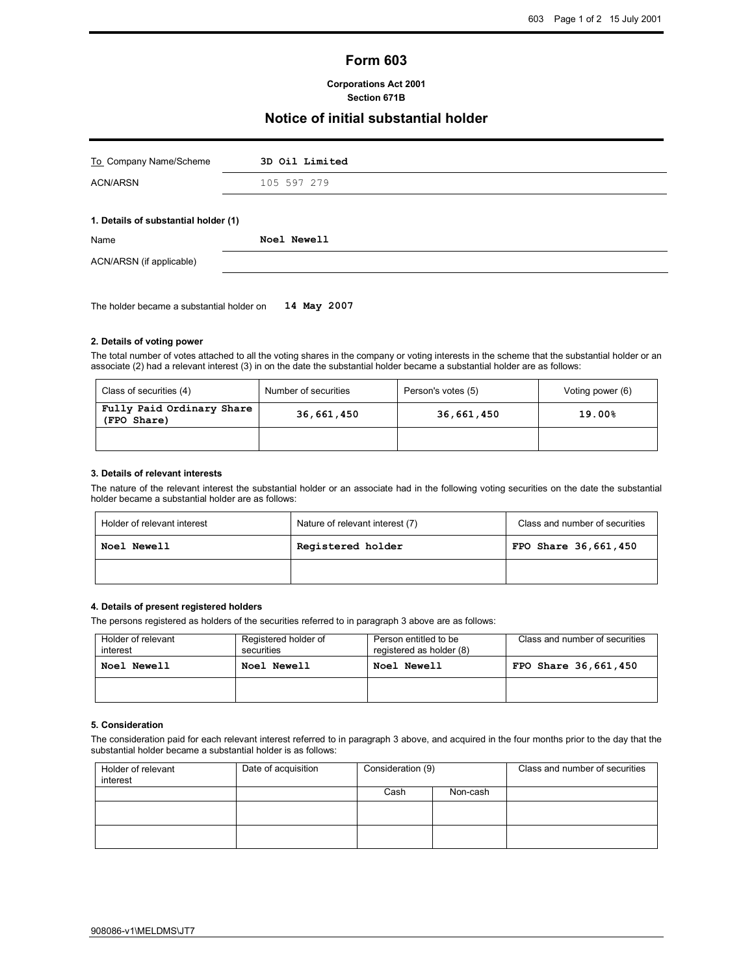# Form 603

#### Corporations Act 2001 Section 671B

## Notice of initial substantial holder

| 3D Oil Limited                       |  |  |
|--------------------------------------|--|--|
| 105 597 279                          |  |  |
| 1. Details of substantial holder (1) |  |  |
| Noel Newell                          |  |  |
|                                      |  |  |
|                                      |  |  |

The holder became a substantial holder on 14 May 2007

#### 2. Details of voting power

The total number of votes attached to all the voting shares in the company or voting interests in the scheme that the substantial holder or an associate (2) had a relevant interest (3) in on the date the substantial holder became a substantial holder are as follows:

| Class of securities (4)                  | Number of securities | Person's votes (5) | Voting power (6) |
|------------------------------------------|----------------------|--------------------|------------------|
| Fully Paid Ordinary Share<br>(FPO Share) | 36,661,450           | 36,661,450         | 19.00%           |
|                                          |                      |                    |                  |

#### 3. Details of relevant interests

The nature of the relevant interest the substantial holder or an associate had in the following voting securities on the date the substantial holder became a substantial holder are as follows:

| Holder of relevant interest | Nature of relevant interest (7) | Class and number of securities |
|-----------------------------|---------------------------------|--------------------------------|
| <b>Noel Newell</b>          | Registered holder               | FPO Share 36,661,450           |
|                             |                                 |                                |

### 4. Details of present registered holders

The persons registered as holders of the securities referred to in paragraph 3 above are as follows:

| Holder of relevant<br>interest | Registered holder of<br>securities | Person entitled to be<br>registered as holder (8) | Class and number of securities |
|--------------------------------|------------------------------------|---------------------------------------------------|--------------------------------|
| Noel Newell                    | <b>Noel Newell</b>                 | <b>Noel Newell</b>                                | FPO Share 36,661,450           |
|                                |                                    |                                                   |                                |

#### 5. Consideration

The consideration paid for each relevant interest referred to in paragraph 3 above, and acquired in the four months prior to the day that the substantial holder became a substantial holder is as follows:

| Holder of relevant<br>interest | Date of acquisition | Consideration (9) |          | Class and number of securities |
|--------------------------------|---------------------|-------------------|----------|--------------------------------|
|                                |                     | Cash              | Non-cash |                                |
|                                |                     |                   |          |                                |
|                                |                     |                   |          |                                |